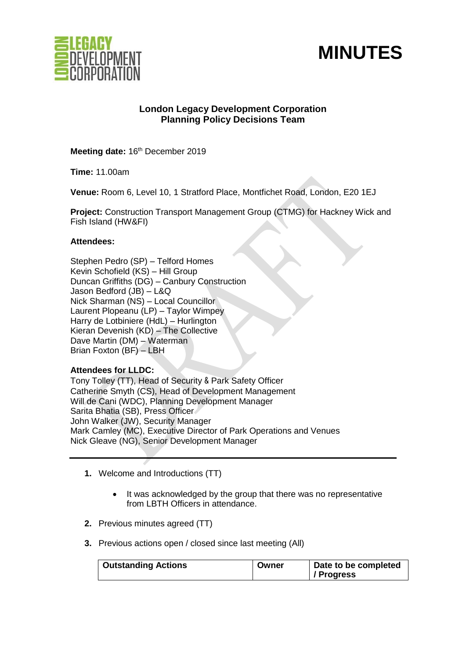



# **London Legacy Development Corporation Planning Policy Decisions Team**

Meeting date: 16<sup>th</sup> December 2019

**Time:** 11.00am

**Venue:** Room 6, Level 10, 1 Stratford Place, Montfichet Road, London, E20 1EJ

**Project:** Construction Transport Management Group (CTMG) for Hackney Wick and Fish Island (HW&FI)

## **Attendees:**

Stephen Pedro (SP) – Telford Homes Kevin Schofield (KS) – Hill Group Duncan Griffiths (DG) – Canbury Construction Jason Bedford (JB) – L&Q Nick Sharman (NS) – Local Councillor Laurent Plopeanu (LP) – Taylor Wimpey Harry de Lotbiniere (HdL) – Hurlington Kieran Devenish (KD) – The Collective Dave Martin (DM) – Waterman Brian Foxton (BF) – LBH

## **Attendees for LLDC:**

Tony Tolley (TT), Head of Security & Park Safety Officer Catherine Smyth (CS), Head of Development Management Will de Cani (WDC), Planning Development Manager Sarita Bhatia (SB), Press Officer John Walker (JW), Security Manager Mark Camley (MC), Executive Director of Park Operations and Venues Nick Gleave (NG), Senior Development Manager

- **1.** Welcome and Introductions (TT)
	- It was acknowledged by the group that there was no representative from LBTH Officers in attendance.
- **2.** Previous minutes agreed (TT)
- **3.** Previous actions open / closed since last meeting (All)

| <b>Outstanding Actions</b> | Owner | Date to be completed<br>/ Progress |
|----------------------------|-------|------------------------------------|
|----------------------------|-------|------------------------------------|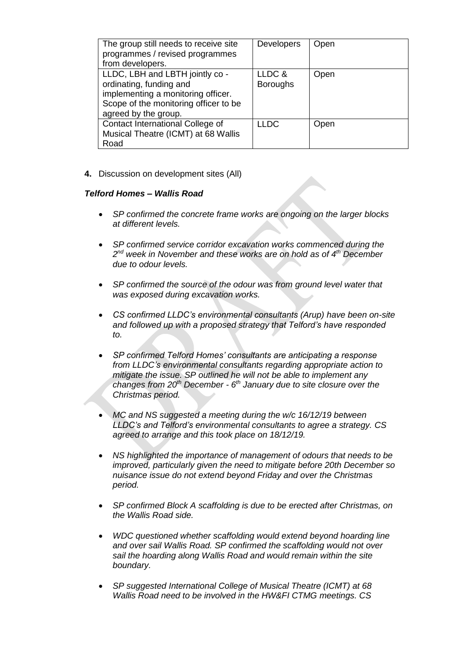| The group still needs to receive site<br>programmes / revised programmes<br>from developers.                                                                      | <b>Developers</b>         | Open |
|-------------------------------------------------------------------------------------------------------------------------------------------------------------------|---------------------------|------|
| LLDC, LBH and LBTH jointly co -<br>ordinating, funding and<br>implementing a monitoring officer.<br>Scope of the monitoring officer to be<br>agreed by the group. | LLDC &<br><b>Boroughs</b> | Open |
| Contact International College of<br>Musical Theatre (ICMT) at 68 Wallis<br>Road                                                                                   | <b>LLDC</b>               | Open |

**4.** Discussion on development sites (All)

#### *Telford Homes – Wallis Road*

- *SP confirmed the concrete frame works are ongoing on the larger blocks at different levels.*
- *SP confirmed service corridor excavation works commenced during the 2 nd week in November and these works are on hold as of 4 th December due to odour levels.*
- *SP confirmed the source of the odour was from ground level water that was exposed during excavation works.*
- *CS confirmed LLDC's environmental consultants (Arup) have been on-site and followed up with a proposed strategy that Telford's have responded to.*
- *SP confirmed Telford Homes' consultants are anticipating a response from LLDC's environmental consultants regarding appropriate action to mitigate the issue. SP outlined he will not be able to implement any changes from 20th December - 6 th January due to site closure over the Christmas period.*
- *MC and NS suggested a meeting during the w/c 16/12/19 between LLDC's and Telford's environmental consultants to agree a strategy. CS agreed to arrange and this took place on 18/12/19.*
- *NS highlighted the importance of management of odours that needs to be improved, particularly given the need to mitigate before 20th December so nuisance issue do not extend beyond Friday and over the Christmas period.*
- *SP confirmed Block A scaffolding is due to be erected after Christmas, on the Wallis Road side.*
- *WDC questioned whether scaffolding would extend beyond hoarding line and over sail Wallis Road. SP confirmed the scaffolding would not over sail the hoarding along Wallis Road and would remain within the site boundary.*
- *SP suggested International College of Musical Theatre (ICMT) at 68 Wallis Road need to be involved in the HW&FI CTMG meetings. CS*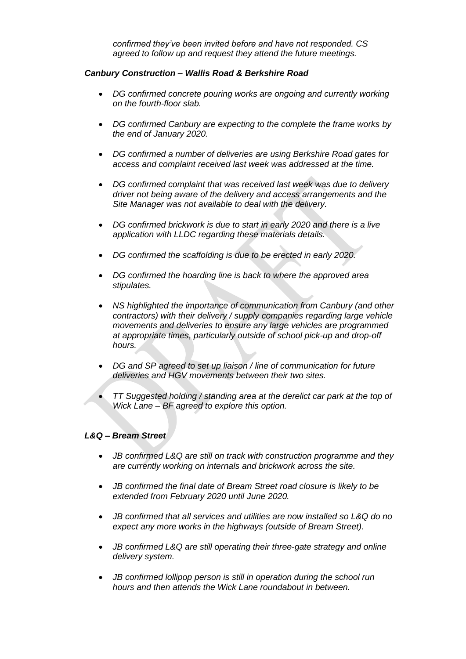*confirmed they've been invited before and have not responded. CS agreed to follow up and request they attend the future meetings.*

# *Canbury Construction – Wallis Road & Berkshire Road*

- *DG confirmed concrete pouring works are ongoing and currently working on the fourth-floor slab.*
- *DG confirmed Canbury are expecting to the complete the frame works by the end of January 2020.*
- *DG confirmed a number of deliveries are using Berkshire Road gates for access and complaint received last week was addressed at the time.*
- *DG confirmed complaint that was received last week was due to delivery driver not being aware of the delivery and access arrangements and the Site Manager was not available to deal with the delivery.*
- *DG confirmed brickwork is due to start in early 2020 and there is a live application with LLDC regarding these materials details.*
- *DG confirmed the scaffolding is due to be erected in early 2020.*
- *DG confirmed the hoarding line is back to where the approved area stipulates.*
- *NS highlighted the importance of communication from Canbury (and other contractors) with their delivery / supply companies regarding large vehicle movements and deliveries to ensure any large vehicles are programmed at appropriate times, particularly outside of school pick-up and drop-off hours.*
- *DG and SP agreed to set up liaison / line of communication for future deliveries and HGV movements between their two sites.*
- *TT Suggested holding / standing area at the derelict car park at the top of Wick Lane – BF agreed to explore this option.*

## *L&Q – Bream Street*

- *JB confirmed L&Q are still on track with construction programme and they are currently working on internals and brickwork across the site.*
- *JB confirmed the final date of Bream Street road closure is likely to be extended from February 2020 until June 2020.*
- *JB confirmed that all services and utilities are now installed so L&Q do no expect any more works in the highways (outside of Bream Street).*
- *JB confirmed L&Q are still operating their three-gate strategy and online delivery system.*
- *JB confirmed lollipop person is still in operation during the school run hours and then attends the Wick Lane roundabout in between.*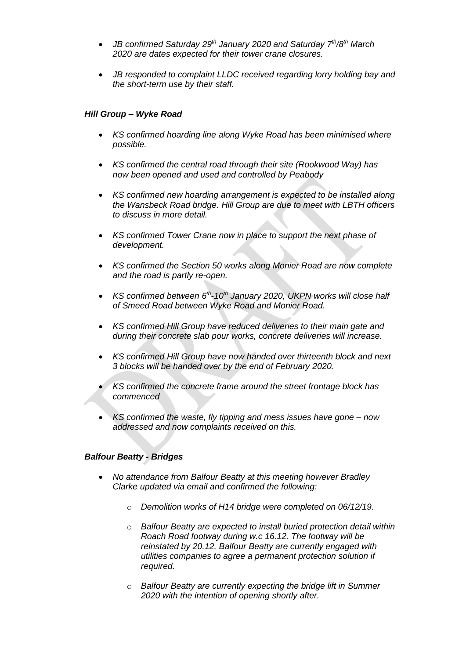- *JB confirmed Saturday 29th January 2020 and Saturday 7 th/8th March 2020 are dates expected for their tower crane closures.*
- *JB responded to complaint LLDC received regarding lorry holding bay and the short-term use by their staff.*

## *Hill Group – Wyke Road*

- *KS confirmed hoarding line along Wyke Road has been minimised where possible.*
- *KS confirmed the central road through their site (Rookwood Way) has now been opened and used and controlled by Peabody*
- *KS confirmed new hoarding arrangement is expected to be installed along the Wansbeck Road bridge. Hill Group are due to meet with LBTH officers to discuss in more detail.*
- *KS confirmed Tower Crane now in place to support the next phase of development.*
- *KS confirmed the Section 50 works along Monier Road are now complete and the road is partly re-open.*
- KS confirmed between 6<sup>th</sup>-10<sup>th</sup> January 2020, UKPN works will close half *of Smeed Road between Wyke Road and Monier Road.*
- *KS confirmed Hill Group have reduced deliveries to their main gate and during their concrete slab pour works, concrete deliveries will increase.*
- *KS confirmed Hill Group have now handed over thirteenth block and next 3 blocks will be handed over by the end of February 2020.*
- *KS confirmed the concrete frame around the street frontage block has commenced*
- *KS confirmed the waste, fly tipping and mess issues have gone – now addressed and now complaints received on this.*

#### *Balfour Beatty - Bridges*

- *No attendance from Balfour Beatty at this meeting however Bradley Clarke updated via email and confirmed the following:* 
	- o *Demolition works of H14 bridge were completed on 06/12/19.*
	- o *Balfour Beatty are expected to install buried protection detail within Roach Road footway during w.c 16.12. The footway will be reinstated by 20.12. Balfour Beatty are currently engaged with utilities companies to agree a permanent protection solution if required.*
	- o *Balfour Beatty are currently expecting the bridge lift in Summer 2020 with the intention of opening shortly after.*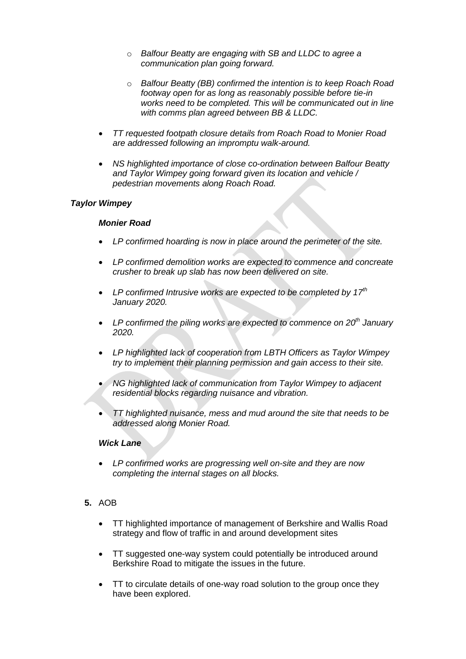- o *Balfour Beatty are engaging with SB and LLDC to agree a communication plan going forward.*
- o *Balfour Beatty (BB) confirmed the intention is to keep Roach Road footway open for as long as reasonably possible before tie-in works need to be completed. This will be communicated out in line with comms plan agreed between BB & LLDC.*
- *TT requested footpath closure details from Roach Road to Monier Road are addressed following an impromptu walk-around.*
- *NS highlighted importance of close co-ordination between Balfour Beatty and Taylor Wimpey going forward given its location and vehicle / pedestrian movements along Roach Road.*

## *Taylor Wimpey*

#### *Monier Road*

- *LP confirmed hoarding is now in place around the perimeter of the site.*
- *LP confirmed demolition works are expected to commence and concreate crusher to break up slab has now been delivered on site.*
- *LP confirmed Intrusive works are expected to be completed by 17th January 2020.*
- *LP confirmed the piling works are expected to commence on 20th January 2020.*
- *LP highlighted lack of cooperation from LBTH Officers as Taylor Wimpey try to implement their planning permission and gain access to their site.*
- *NG highlighted lack of communication from Taylor Wimpey to adjacent residential blocks regarding nuisance and vibration.*
- *TT highlighted nuisance, mess and mud around the site that needs to be addressed along Monier Road.*

## *Wick Lane*

• *LP confirmed works are progressing well on-site and they are now completing the internal stages on all blocks.*

# **5.** AOB

- TT highlighted importance of management of Berkshire and Wallis Road strategy and flow of traffic in and around development sites
- TT suggested one-way system could potentially be introduced around Berkshire Road to mitigate the issues in the future.
- TT to circulate details of one-way road solution to the group once they have been explored.